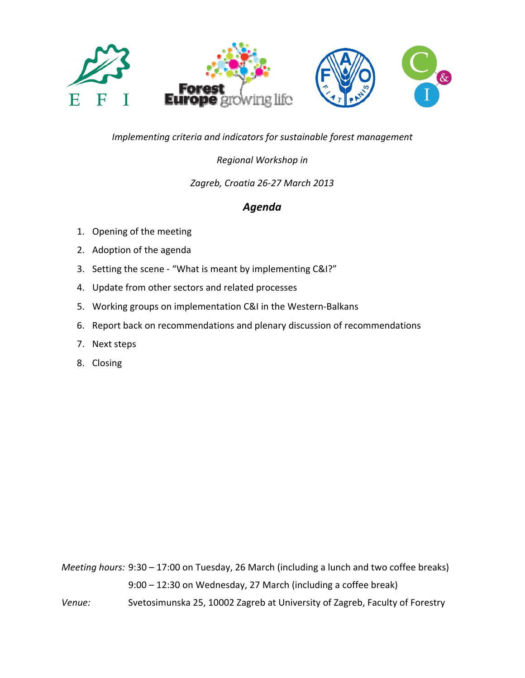

*Implementing criteria and indicators for sustainable forest management*

# *Regional Workshop in*

## *Zagreb, Croatia 26‐27 March 2013*

# *Agenda*

- 1. Opening of the meeting
- 2. Adoption of the agenda
- 3. Setting the scene ‐ "What is meant by implementing C&I?"
- 4. Update from other sectors and related processes
- 5. Working groups on implementation C&I in the Western-Balkans
- 6. Report back on recommendations and plenary discussion of recommendations
- 7. Next steps
- 8. Closing

*Meeting hours:* 9:30 – 17:00 on Tuesday, 26 March (including a lunch and two coffee breaks) 9:00 – 12:30 on Wednesday, 27 March (including a coffee break)

*Venue:* Svetosimunska 25, 10002 Zagreb at University of Zagreb, Faculty of Forestry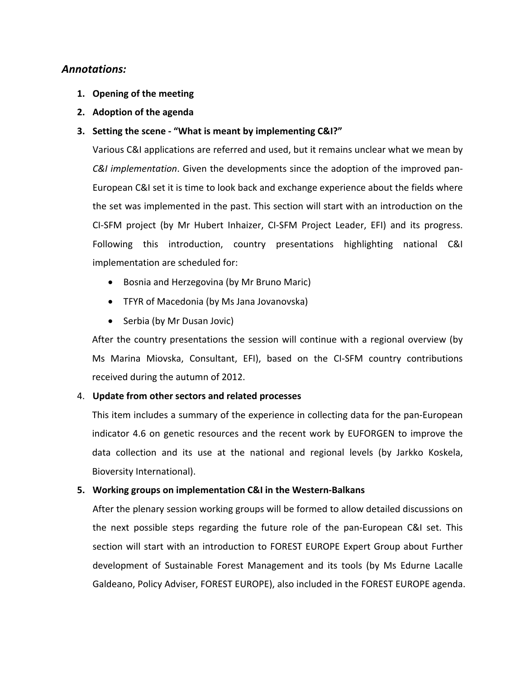## *Annotations:*

- **1. Opening of the meeting**
- **2. Adoption of the agenda**

#### **3. Setting the scene ‐ "What is meant by implementing C&I?"**

Various C&I applications are referred and used, but it remains unclear what we mean by *C&I implementation*. Given the developments since the adoption of the improved pan‐ European C&I set it is time to look back and exchange experience about the fields where the set was implemented in the past. This section will start with an introduction on the CI‐SFM project (by Mr Hubert Inhaizer, CI‐SFM Project Leader, EFI) and its progress. Following this introduction, country presentations highlighting national C&I implementation are scheduled for:

- Bosnia and Herzegovina (by Mr Bruno Maric)
- TFYR of Macedonia (by Ms Jana Jovanovska)
- Serbia (by Mr Dusan Jovic)

After the country presentations the session will continue with a regional overview (by Ms Marina Miovska, Consultant, EFI), based on the CI‐SFM country contributions received during the autumn of 2012.

#### 4. **Update from other sectors and related processes**

This item includes a summary of the experience in collecting data for the pan‐European indicator 4.6 on genetic resources and the recent work by EUFORGEN to improve the data collection and its use at the national and regional levels (by Jarkko Koskela, Bioversity International).

#### **5. Working groups on implementation C&I in the Western‐Balkans**

After the plenary session working groups will be formed to allow detailed discussions on the next possible steps regarding the future role of the pan‐European C&I set. This section will start with an introduction to FOREST EUROPE Expert Group about Further development of Sustainable Forest Management and its tools (by Ms Edurne Lacalle Galdeano, Policy Adviser, FOREST EUROPE), also included in the FOREST EUROPE agenda.